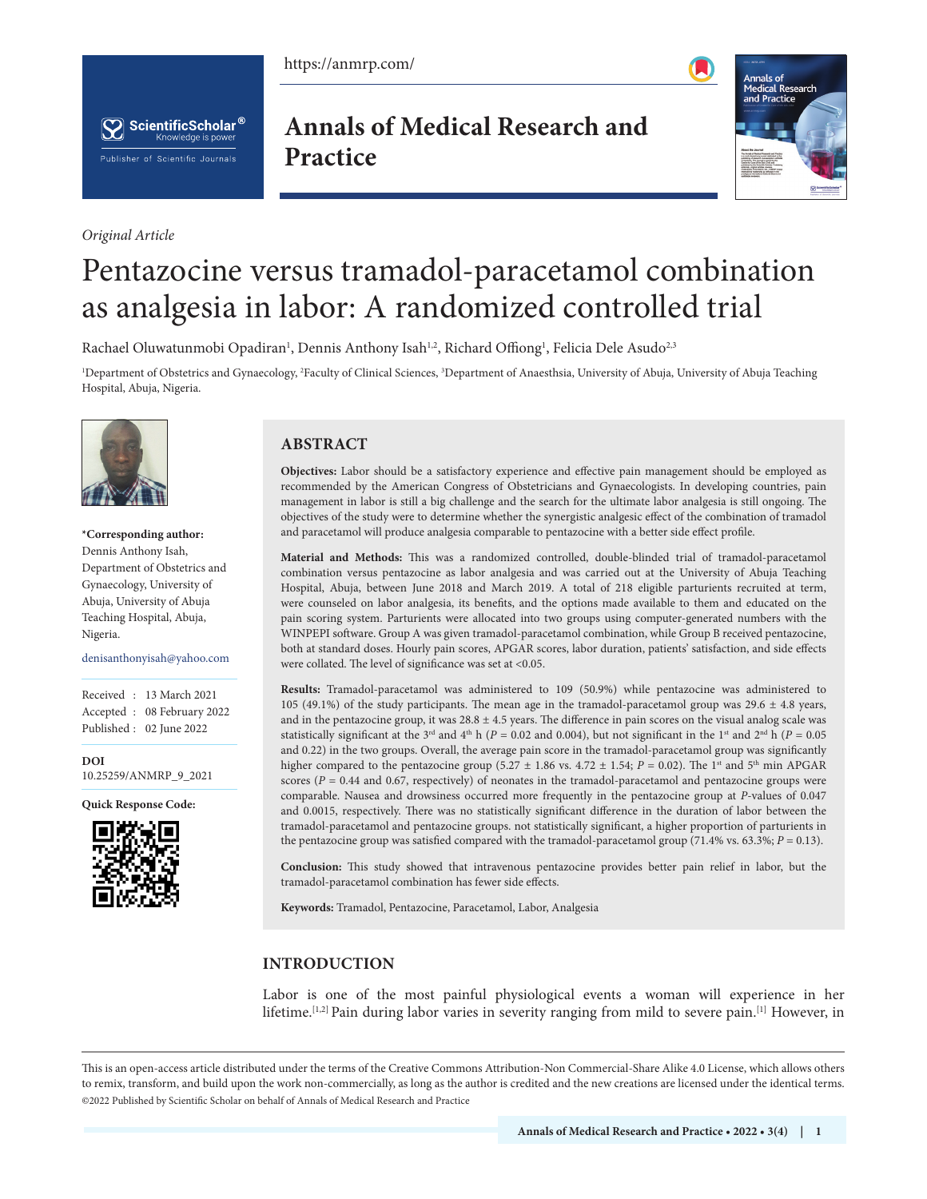https://anmrp.com/





*Original Article*

**Annals of Medical Research and Practice**



# Pentazocine versus tramadol-paracetamol combination as analgesia in labor: A randomized controlled trial

Rachael Oluwatunmobi Opadiran<sup>1</sup>, Dennis Anthony Isah<sup>1,2</sup>, Richard Offiong<sup>1</sup>, Felicia Dele Asudo<sup>2,3</sup>

<sup>1</sup>Department of Obstetrics and Gynaecology, <sup>2</sup>Faculty of Clinical Sciences, <sup>3</sup>Department of Anaesthsia, University of Abuja, University of Abuja Teaching Hospital, Abuja, Nigeria.



**\*Corresponding author:** Dennis Anthony Isah, Department of Obstetrics and Gynaecology, University of Abuja, University of Abuja Teaching Hospital, Abuja, Nigeria.

denisanthonyisah@yahoo.com

Received : 13 March 2021 Accepted : 08 February 2022 Published : 02 June 2022

**DOI** [10.25259/ANMRP\\_9\\_2021](http://dx.doi.org/10.25259/ANMRP_9_2021)

**Quick Response Code:**



# **ABSTRACT**

**Objectives:** Labor should be a satisfactory experience and effective pain management should be employed as recommended by the American Congress of Obstetricians and Gynaecologists. In developing countries, pain management in labor is still a big challenge and the search for the ultimate labor analgesia is still ongoing. The objectives of the study were to determine whether the synergistic analgesic effect of the combination of tramadol and paracetamol will produce analgesia comparable to pentazocine with a better side effect profile.

**Material and Methods:** This was a randomized controlled, double-blinded trial of tramadol-paracetamol combination versus pentazocine as labor analgesia and was carried out at the University of Abuja Teaching Hospital, Abuja, between June 2018 and March 2019. A total of 218 eligible parturients recruited at term, were counseled on labor analgesia, its benefits, and the options made available to them and educated on the pain scoring system. Parturients were allocated into two groups using computer-generated numbers with the WINPEPI software. Group A was given tramadol-paracetamol combination, while Group B received pentazocine, both at standard doses. Hourly pain scores, APGAR scores, labor duration, patients' satisfaction, and side effects were collated. The level of significance was set at <0.05.

**Results:** Tramadol-paracetamol was administered to 109 (50.9%) while pentazocine was administered to 105 (49.1%) of the study participants. The mean age in the tramadol-paracetamol group was 29.6  $\pm$  4.8 years, and in the pentazocine group, it was  $28.8 \pm 4.5$  years. The difference in pain scores on the visual analog scale was statistically significant at the 3<sup>rd</sup> and 4<sup>th</sup> h (*P* = 0.02 and 0.004), but not significant in the 1<sup>st</sup> and 2<sup>nd</sup> h (*P* = 0.05 and 0.22) in the two groups. Overall, the average pain score in the tramadol-paracetamol group was significantly higher compared to the pentazocine group (5.27  $\pm$  1.86 vs. 4.72  $\pm$  1.54; *P* = 0.02). The 1<sup>st</sup> and 5<sup>th</sup> min APGAR scores ( $P = 0.44$  and 0.67, respectively) of neonates in the tramadol-paracetamol and pentazocine groups were comparable. Nausea and drowsiness occurred more frequently in the pentazocine group at *P*-values of 0.047 and 0.0015, respectively. There was no statistically significant difference in the duration of labor between the tramadol-paracetamol and pentazocine groups. not statistically significant, a higher proportion of parturients in the pentazocine group was satisfied compared with the tramadol-paracetamol group (71.4% vs. 63.3%; *P* = 0.13).

**Conclusion:** This study showed that intravenous pentazocine provides better pain relief in labor, but the tramadol-paracetamol combination has fewer side effects.

**Keywords:** Tramadol, Pentazocine, Paracetamol, Labor, Analgesia

# **INTRODUCTION**

Labor is one of the most painful physiological events a woman will experience in her lifetime.<sup>[1,2]</sup> Pain during labor varies in severity ranging from mild to severe pain.<sup>[1]</sup> However, in

This is an open-access article distributed under the terms of the Creative Commons Attribution-Non Commercial-Share Alike 4.0 License, which allows others to remix, transform, and build upon the work non-commercially, as long as the author is credited and the new creations are licensed under the identical terms. ©2022 Published by Scientific Scholar on behalf of Annals of Medical Research and Practice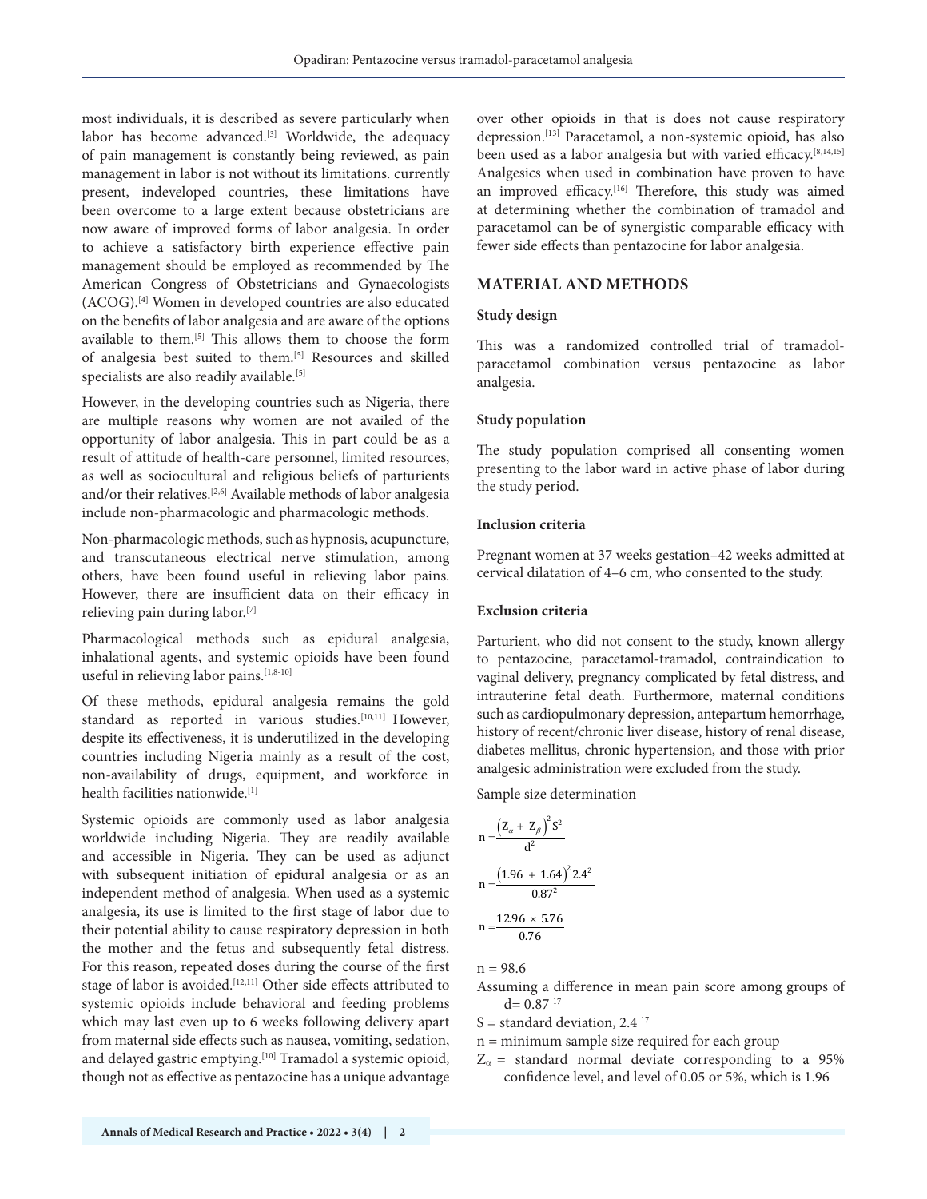most individuals, it is described as severe particularly when labor has become advanced.<sup>[3]</sup> Worldwide, the adequacy of pain management is constantly being reviewed, as pain management in labor is not without its limitations. currently present, indeveloped countries, these limitations have been overcome to a large extent because obstetricians are now aware of improved forms of labor analgesia. In order to achieve a satisfactory birth experience effective pain management should be employed as recommended by The American Congress of Obstetricians and Gynaecologists (ACOG).[4] Women in developed countries are also educated on the benefits of labor analgesia and are aware of the options available to them.[5] This allows them to choose the form of analgesia best suited to them.<sup>[5]</sup> Resources and skilled specialists are also readily available.<sup>[5]</sup>

However, in the developing countries such as Nigeria, there are multiple reasons why women are not availed of the opportunity of labor analgesia. This in part could be as a result of attitude of health-care personnel, limited resources, as well as sociocultural and religious beliefs of parturients and/or their relatives.[2,6] Available methods of labor analgesia include non-pharmacologic and pharmacologic methods.

Non-pharmacologic methods, such as hypnosis, acupuncture, and transcutaneous electrical nerve stimulation, among others, have been found useful in relieving labor pains. However, there are insufficient data on their efficacy in relieving pain during labor.[7]

Pharmacological methods such as epidural analgesia, inhalational agents, and systemic opioids have been found useful in relieving labor pains.<sup>[1,8-10]</sup>

Of these methods, epidural analgesia remains the gold standard as reported in various studies.<sup>[10,11]</sup> However, despite its effectiveness, it is underutilized in the developing countries including Nigeria mainly as a result of the cost, non-availability of drugs, equipment, and workforce in health facilities nationwide.[1]

Systemic opioids are commonly used as labor analgesia worldwide including Nigeria. They are readily available and accessible in Nigeria. They can be used as adjunct with subsequent initiation of epidural analgesia or as an independent method of analgesia. When used as a systemic analgesia, its use is limited to the first stage of labor due to their potential ability to cause respiratory depression in both the mother and the fetus and subsequently fetal distress. For this reason, repeated doses during the course of the first stage of labor is avoided.<sup>[12,11]</sup> Other side effects attributed to systemic opioids include behavioral and feeding problems which may last even up to 6 weeks following delivery apart from maternal side effects such as nausea, vomiting, sedation, and delayed gastric emptying.<sup>[10]</sup> Tramadol a systemic opioid, though not as effective as pentazocine has a unique advantage

over other opioids in that is does not cause respiratory depression.[13] Paracetamol, a non-systemic opioid, has also been used as a labor analgesia but with varied efficacy.<sup>[8,14,15]</sup> Analgesics when used in combination have proven to have an improved efficacy.<sup>[16]</sup> Therefore, this study was aimed at determining whether the combination of tramadol and paracetamol can be of synergistic comparable efficacy with fewer side effects than pentazocine for labor analgesia.

# **MATERIAL AND METHODS**

#### **Study design**

This was a randomized controlled trial of tramadolparacetamol combination versus pentazocine as labor analgesia.

#### **Study population**

The study population comprised all consenting women presenting to the labor ward in active phase of labor during the study period.

#### **Inclusion criteria**

Pregnant women at 37 weeks gestation–42 weeks admitted at cervical dilatation of 4–6 cm, who consented to the study.

## **Exclusion criteria**

Parturient, who did not consent to the study, known allergy to pentazocine, paracetamol-tramadol, contraindication to vaginal delivery, pregnancy complicated by fetal distress, and intrauterine fetal death. Furthermore, maternal conditions such as cardiopulmonary depression, antepartum hemorrhage, history of recent/chronic liver disease, history of renal disease, diabetes mellitus, chronic hypertension, and those with prior analgesic administration were excluded from the study.

Sample size determination

$$
n = \frac{(Z_{\alpha} + Z_{\beta})^2 S^2}{d^2}
$$

$$
n = \frac{(1.96 + 1.64)^2 2.4^2}{0.87^2}
$$

$$
n = \frac{12.96 \times 5.76}{0.76}
$$

 $n = 98.6$ 

- Assuming a difference in mean pain score among groups of  $d= 0.87$ <sup>17</sup>
- S = standard deviation,  $2.4<sup>17</sup>$
- n = minimum sample size required for each group
- $Z_{\alpha}$  = standard normal deviate corresponding to a 95% confidence level, and level of 0.05 or 5%, which is 1.96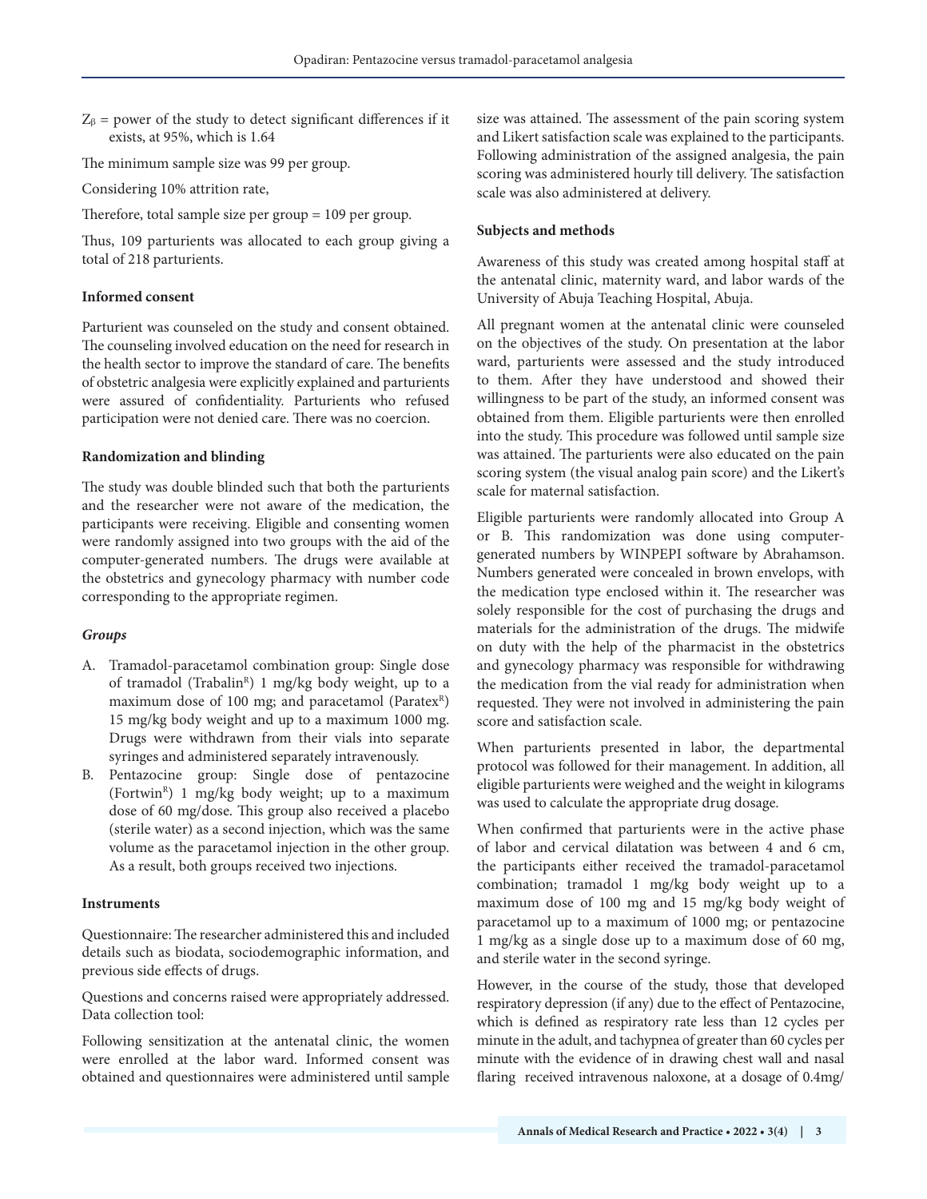$Z_{\beta}$  = power of the study to detect significant differences if it exists, at 95%, which is 1.64

The minimum sample size was 99 per group.

Considering 10% attrition rate,

Therefore, total sample size per group = 109 per group.

Thus, 109 parturients was allocated to each group giving a total of 218 parturients.

## **Informed consent**

Parturient was counseled on the study and consent obtained. The counseling involved education on the need for research in the health sector to improve the standard of care. The benefits of obstetric analgesia were explicitly explained and parturients were assured of confidentiality. Parturients who refused participation were not denied care. There was no coercion.

#### **Randomization and blinding**

The study was double blinded such that both the parturients and the researcher were not aware of the medication, the participants were receiving. Eligible and consenting women were randomly assigned into two groups with the aid of the computer-generated numbers. The drugs were available at the obstetrics and gynecology pharmacy with number code corresponding to the appropriate regimen.

## *Groups*

- A. Tramadol-paracetamol combination group: Single dose of tramadol (Trabalin<sup>R</sup>) 1 mg/kg body weight, up to a maximum dose of 100 mg; and paracetamol (ParatexR) 15 mg/kg body weight and up to a maximum 1000 mg. Drugs were withdrawn from their vials into separate syringes and administered separately intravenously.
- B. Pentazocine group: Single dose of pentazocine (Fortwin<sup>R</sup>) 1 mg/kg body weight; up to a maximum dose of 60 mg/dose. This group also received a placebo (sterile water) as a second injection, which was the same volume as the paracetamol injection in the other group. As a result, both groups received two injections.

## **Instruments**

Questionnaire: The researcher administered this and included details such as biodata, sociodemographic information, and previous side effects of drugs.

Questions and concerns raised were appropriately addressed. Data collection tool:

Following sensitization at the antenatal clinic, the women were enrolled at the labor ward. Informed consent was obtained and questionnaires were administered until sample size was attained. The assessment of the pain scoring system and Likert satisfaction scale was explained to the participants. Following administration of the assigned analgesia, the pain scoring was administered hourly till delivery. The satisfaction scale was also administered at delivery.

## **Subjects and methods**

Awareness of this study was created among hospital staff at the antenatal clinic, maternity ward, and labor wards of the University of Abuja Teaching Hospital, Abuja.

All pregnant women at the antenatal clinic were counseled on the objectives of the study. On presentation at the labor ward, parturients were assessed and the study introduced to them. After they have understood and showed their willingness to be part of the study, an informed consent was obtained from them. Eligible parturients were then enrolled into the study. This procedure was followed until sample size was attained. The parturients were also educated on the pain scoring system (the visual analog pain score) and the Likert's scale for maternal satisfaction.

Eligible parturients were randomly allocated into Group A or B. This randomization was done using computergenerated numbers by WINPEPI software by Abrahamson. Numbers generated were concealed in brown envelops, with the medication type enclosed within it. The researcher was solely responsible for the cost of purchasing the drugs and materials for the administration of the drugs. The midwife on duty with the help of the pharmacist in the obstetrics and gynecology pharmacy was responsible for withdrawing the medication from the vial ready for administration when requested. They were not involved in administering the pain score and satisfaction scale.

When parturients presented in labor, the departmental protocol was followed for their management. In addition, all eligible parturients were weighed and the weight in kilograms was used to calculate the appropriate drug dosage.

When confirmed that parturients were in the active phase of labor and cervical dilatation was between 4 and 6 cm, the participants either received the tramadol-paracetamol combination; tramadol 1 mg/kg body weight up to a maximum dose of 100 mg and 15 mg/kg body weight of paracetamol up to a maximum of 1000 mg; or pentazocine 1 mg/kg as a single dose up to a maximum dose of 60 mg, and sterile water in the second syringe.

However, in the course of the study, those that developed respiratory depression (if any) due to the effect of Pentazocine, which is defined as respiratory rate less than 12 cycles per minute in the adult, and tachypnea of greater than 60 cycles per minute with the evidence of in drawing chest wall and nasal flaring received intravenous naloxone, at a dosage of 0.4mg/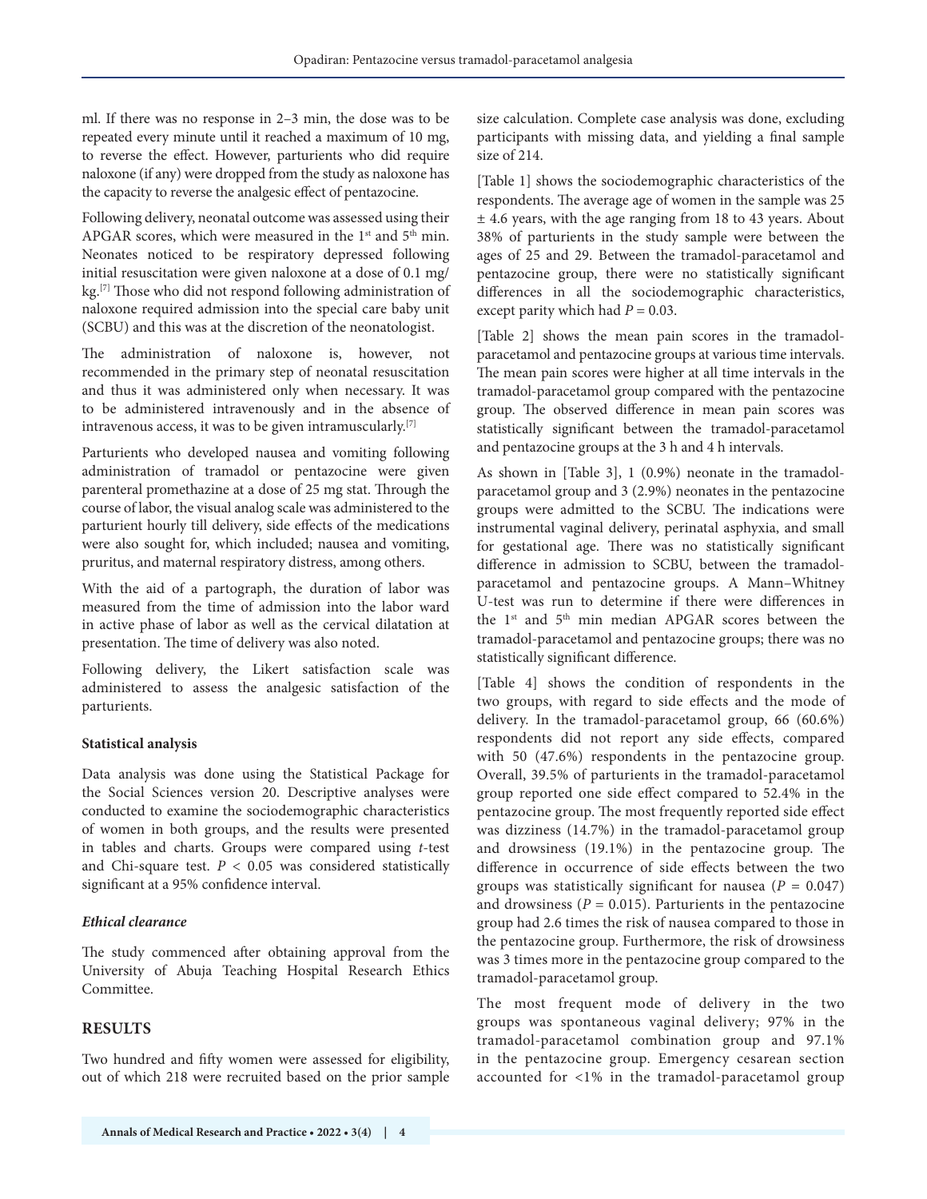ml. If there was no response in 2–3 min, the dose was to be repeated every minute until it reached a maximum of 10 mg, to reverse the effect. However, parturients who did require naloxone (if any) were dropped from the study as naloxone has the capacity to reverse the analgesic effect of pentazocine.

Following delivery, neonatal outcome was assessed using their APGAR scores, which were measured in the  $1<sup>st</sup>$  and  $5<sup>th</sup>$  min. Neonates noticed to be respiratory depressed following initial resuscitation were given naloxone at a dose of 0.1 mg/ kg.<sup>[7]</sup> Those who did not respond following administration of naloxone required admission into the special care baby unit (SCBU) and this was at the discretion of the neonatologist.

The administration of naloxone is, however, not recommended in the primary step of neonatal resuscitation and thus it was administered only when necessary. It was to be administered intravenously and in the absence of intravenous access, it was to be given intramuscularly.[7]

Parturients who developed nausea and vomiting following administration of tramadol or pentazocine were given parenteral promethazine at a dose of 25 mg stat. Through the course of labor, the visual analog scale was administered to the parturient hourly till delivery, side effects of the medications were also sought for, which included; nausea and vomiting, pruritus, and maternal respiratory distress, among others.

With the aid of a partograph, the duration of labor was measured from the time of admission into the labor ward in active phase of labor as well as the cervical dilatation at presentation. The time of delivery was also noted.

Following delivery, the Likert satisfaction scale was administered to assess the analgesic satisfaction of the parturients.

## **Statistical analysis**

Data analysis was done using the Statistical Package for the Social Sciences version 20. Descriptive analyses were conducted to examine the sociodemographic characteristics of women in both groups, and the results were presented in tables and charts. Groups were compared using *t*-test and Chi-square test.  $P < 0.05$  was considered statistically significant at a 95% confidence interval.

## *Ethical clearance*

The study commenced after obtaining approval from the University of Abuja Teaching Hospital Research Ethics Committee.

# **RESULTS**

Two hundred and fifty women were assessed for eligibility, out of which 218 were recruited based on the prior sample size calculation. Complete case analysis was done, excluding participants with missing data, and yielding a final sample size of 214.

[Table 1] shows the sociodemographic characteristics of the respondents. The average age of women in the sample was 25 ± 4.6 years, with the age ranging from 18 to 43 years. About 38% of parturients in the study sample were between the ages of 25 and 29. Between the tramadol-paracetamol and pentazocine group, there were no statistically significant differences in all the sociodemographic characteristics, except parity which had  $P = 0.03$ .

[Table 2] shows the mean pain scores in the tramadolparacetamol and pentazocine groups at various time intervals. The mean pain scores were higher at all time intervals in the tramadol-paracetamol group compared with the pentazocine group. The observed difference in mean pain scores was statistically significant between the tramadol-paracetamol and pentazocine groups at the 3 h and 4 h intervals.

As shown in [Table 3], 1 (0.9%) neonate in the tramadolparacetamol group and 3 (2.9%) neonates in the pentazocine groups were admitted to the SCBU. The indications were instrumental vaginal delivery, perinatal asphyxia, and small for gestational age. There was no statistically significant difference in admission to SCBU, between the tramadolparacetamol and pentazocine groups. A Mann–Whitney U-test was run to determine if there were differences in the 1<sup>st</sup> and 5<sup>th</sup> min median APGAR scores between the tramadol-paracetamol and pentazocine groups; there was no statistically significant difference.

[Table 4] shows the condition of respondents in the two groups, with regard to side effects and the mode of delivery. In the tramadol-paracetamol group, 66 (60.6%) respondents did not report any side effects, compared with 50 (47.6%) respondents in the pentazocine group. Overall, 39.5% of parturients in the tramadol-paracetamol group reported one side effect compared to 52.4% in the pentazocine group. The most frequently reported side effect was dizziness (14.7%) in the tramadol-paracetamol group and drowsiness (19.1%) in the pentazocine group. The difference in occurrence of side effects between the two groups was statistically significant for nausea  $(P = 0.047)$ and drowsiness  $(P = 0.015)$ . Parturients in the pentazocine group had 2.6 times the risk of nausea compared to those in the pentazocine group. Furthermore, the risk of drowsiness was 3 times more in the pentazocine group compared to the tramadol-paracetamol group.

The most frequent mode of delivery in the two groups was spontaneous vaginal delivery; 97% in the tramadol-paracetamol combination group and 97.1% in the pentazocine group. Emergency cesarean section accounted for <1% in the tramadol-paracetamol group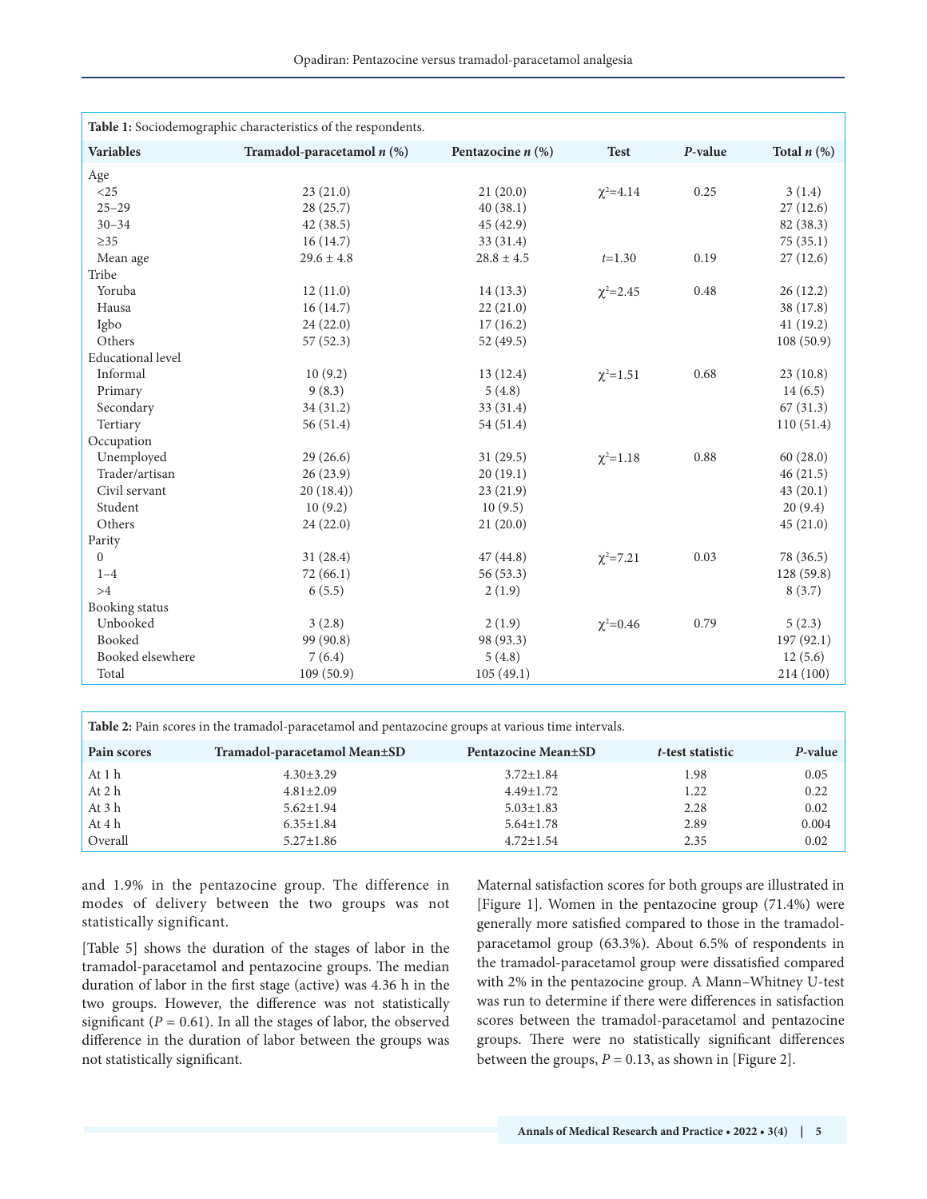| Table 1: Sociodemographic characteristics of the respondents. |                              |                     |                 |         |                  |
|---------------------------------------------------------------|------------------------------|---------------------|-----------------|---------|------------------|
|                                                               |                              |                     |                 |         |                  |
| <b>Variables</b>                                              | Tramadol-paracetamol $n$ (%) | Pentazocine $n$ (%) | <b>Test</b>     | P-value | Total $n$ $(\%)$ |
| Age                                                           |                              |                     |                 |         |                  |
| $<$ 25                                                        | 23(21.0)                     | 21(20.0)            | $\chi^2 = 4.14$ | 0.25    | 3(1.4)           |
| $25 - 29$                                                     | 28(25.7)                     | 40(38.1)            |                 |         | 27(12.6)         |
| $30 - 34$                                                     | 42(38.5)                     | 45 (42.9)           |                 |         | 82 (38.3)        |
| $\geq$ 35                                                     | 16(14.7)                     | 33(31.4)            |                 |         | 75(35.1)         |
| Mean age                                                      | $29.6 \pm 4.8$               | $28.8 \pm 4.5$      | $t=1.30$        | 0.19    | 27(12.6)         |
| Tribe                                                         |                              |                     |                 |         |                  |
| Yoruba                                                        | 12(11.0)                     | 14(13.3)            | $\chi^2 = 2.45$ | 0.48    | 26(12.2)         |
| Hausa                                                         | 16(14.7)                     | 22(21.0)            |                 |         | 38 (17.8)        |
| Igbo                                                          | 24(22.0)                     | 17(16.2)            |                 |         | 41(19.2)         |
| Others                                                        | 57(52.3)                     | 52(49.5)            |                 |         | 108(50.9)        |
| <b>Educational</b> level                                      |                              |                     |                 |         |                  |
| Informal                                                      | 10(9.2)                      | 13(12.4)            | $\chi^2 = 1.51$ | 0.68    | 23(10.8)         |
| Primary                                                       | 9(8.3)                       | 5(4.8)              |                 |         | 14(6.5)          |
| Secondary                                                     | 34(31.2)                     | 33 (31.4)           |                 |         | 67(31.3)         |
| Tertiary                                                      | 56(51.4)                     | 54(51.4)            |                 |         | 110(51.4)        |
| Occupation                                                    |                              |                     |                 |         |                  |
| Unemployed                                                    | 29(26.6)                     | 31(29.5)            | $\chi^2 = 1.18$ | 0.88    | 60(28.0)         |
| Trader/artisan                                                | 26(23.9)                     | 20(19.1)            |                 |         | 46(21.5)         |
| Civil servant                                                 | 20(18.4)                     | 23(21.9)            |                 |         | 43(20.1)         |
| Student                                                       | 10(9.2)                      | 10(9.5)             |                 |         | 20(9.4)          |
| Others                                                        | 24(22.0)                     | 21(20.0)            |                 |         | 45(21.0)         |
| Parity                                                        |                              |                     |                 |         |                  |
| $\mathbf{0}$                                                  | 31(28.4)                     | 47(44.8)            | $\chi^2 = 7.21$ | 0.03    | 78 (36.5)        |
| $1 - 4$                                                       | 72(66.1)                     | 56 (53.3)           |                 |         | 128 (59.8)       |
| >4                                                            | 6(5.5)                       | 2(1.9)              |                 |         | 8(3.7)           |
| Booking status                                                |                              |                     |                 |         |                  |
| Unbooked                                                      | 3(2.8)                       | 2(1.9)              | $\chi^2 = 0.46$ | 0.79    | 5(2.3)           |
| Booked                                                        | 99 (90.8)                    | 98 (93.3)           |                 |         | 197 (92.1)       |
| Booked elsewhere                                              | 7(6.4)                       | 5(4.8)              |                 |         | 12(5.6)          |
| Total                                                         | 109(50.9)                    | 105(49.1)           |                 |         | 214 (100)        |

| <b>Table 2:</b> Pain scores in the tramadol-paracetamol and pentazocine groups at various time intervals. |                              |                     |                  |         |
|-----------------------------------------------------------------------------------------------------------|------------------------------|---------------------|------------------|---------|
| Pain scores                                                                                               | Tramadol-paracetamol Mean±SD | Pentazocine Mean±SD | t-test statistic | P-value |
| At 1 h                                                                                                    | $4.30 \pm 3.29$              | $3.72 \pm 1.84$     | 1.98             | 0.05    |
| At 2 h                                                                                                    | $4.81 \pm 2.09$              | $4.49 \pm 1.72$     | 1.22             | 0.22    |
| At 3 h                                                                                                    | $5.62 \pm 1.94$              | $5.03 \pm 1.83$     | 2.28             | 0.02    |
| At 4 h                                                                                                    | $6.35 \pm 1.84$              | $5.64 \pm 1.78$     | 2.89             | 0.004   |
| Overall                                                                                                   | $5.27 \pm 1.86$              | $4.72 \pm 1.54$     | 2.35             | 0.02    |

and 1.9% in the pentazocine group. The difference in modes of delivery between the two groups was not statistically significant.

[Table 5] shows the duration of the stages of labor in the tramadol-paracetamol and pentazocine groups. The median duration of labor in the first stage (active) was 4.36 h in the two groups. However, the difference was not statistically significant  $(P = 0.61)$ . In all the stages of labor, the observed difference in the duration of labor between the groups was not statistically significant.

Maternal satisfaction scores for both groups are illustrated in [Figure 1]. Women in the pentazocine group (71.4%) were generally more satisfied compared to those in the tramadolparacetamol group (63.3%). About 6.5% of respondents in the tramadol-paracetamol group were dissatisfied compared with 2% in the pentazocine group. A Mann–Whitney U-test was run to determine if there were differences in satisfaction scores between the tramadol-paracetamol and pentazocine groups. There were no statistically significant differences between the groups,  $P = 0.13$ , as shown in [Figure 2].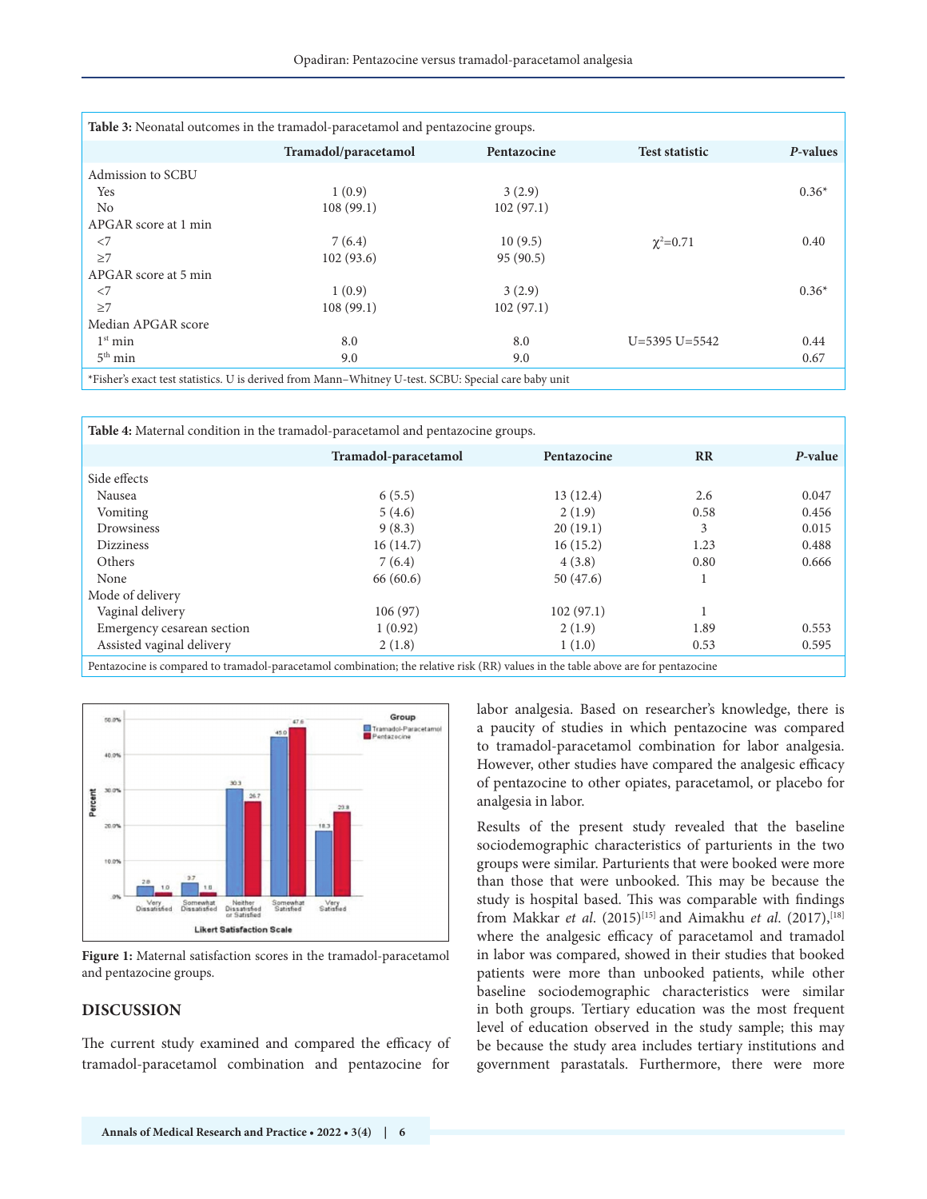|                      | Tramadol/paracetamol | Pentazocine | <b>Test statistic</b> | P-values |
|----------------------|----------------------|-------------|-----------------------|----------|
|                      |                      |             |                       |          |
| Admission to SCBU    |                      |             |                       |          |
| Yes                  | 1(0.9)               | 3(2.9)      |                       | $0.36*$  |
| N <sub>0</sub>       | 108(99.1)            | 102(97.1)   |                       |          |
| APGAR score at 1 min |                      |             |                       |          |
| $<$ 7                | 7(6.4)               | 10(9.5)     | $\chi^2 = 0.71$       | 0.40     |
| $\geq$ 7             | 102(93.6)            | 95(90.5)    |                       |          |
| APGAR score at 5 min |                      |             |                       |          |
| $<$ 7                | 1(0.9)               | 3(2.9)      |                       | $0.36*$  |
| $\geq$ 7             | 108(99.1)            | 102(97.1)   |                       |          |
| Median APGAR score   |                      |             |                       |          |
| 1 <sup>st</sup> min  | 8.0                  | 8.0         | $U=5395 U=5542$       | 0.44     |
| $5th$ min            | 9.0                  | 9.0         |                       | 0.67     |

**Table 4:** Maternal condition in the tramadol-paracetamol and pentazocine groups. **Tramadol‑paracetamol Pentazocine RR** *P***‑value** Side effects Nausea 6 (5.5) 13 (12.4) 2.6 0.047 Vomiting 5 (4.6) 5 (4.6) 2 (1.9) 0.58 0.456 Drowsiness 20 (19.1) 3 0.015 Dizziness 16 (14.7) 16 (14.7) 16 (15.2) 1.23 0.488 Others 7 (6.4) 4 (3.8) 0.80 0.666 None 50 (47.6) 50 (47.6) 50 (47.6) 50 (47.6) 50 (47.6) 50 (47.6) 50 (47.6) 50 (47.6) 50 (47.6) 50 (47.6) 50 (47.6) 50 (47.6) 50 (47.6) 50 (47.6) 50 (47.6) 50 (47.6) 50 (47.6) 50 (47.6) 50 (47.6) 50 (47.6) 50 (47.6) 50 (47. Mode of delivery Vaginal delivery 106 (97) 106 (97) 102 (97.1) 1 Emergency cesarean section 1 (0.92) 2 (1.9) 1.89 0.553 Assisted vaginal delivery 2 (1.8) 1 (1.0) 0.53 0.595





**Figure 1:** Maternal satisfaction scores in the tramadol-paracetamol and pentazocine groups.

#### **DISCUSSION**

The current study examined and compared the efficacy of tramadol-paracetamol combination and pentazocine for

labor analgesia. Based on researcher's knowledge, there is a paucity of studies in which pentazocine was compared to tramadol-paracetamol combination for labor analgesia. However, other studies have compared the analgesic efficacy of pentazocine to other opiates, paracetamol, or placebo for analgesia in labor.

Results of the present study revealed that the baseline sociodemographic characteristics of parturients in the two groups were similar. Parturients that were booked were more than those that were unbooked. This may be because the study is hospital based. This was comparable with findings from Makkar *et al*. (2015)[15] and Aimakhu *et al*. (2017),[18] where the analgesic efficacy of paracetamol and tramadol in labor was compared, showed in their studies that booked patients were more than unbooked patients, while other baseline sociodemographic characteristics were similar in both groups. Tertiary education was the most frequent level of education observed in the study sample; this may be because the study area includes tertiary institutions and government parastatals. Furthermore, there were more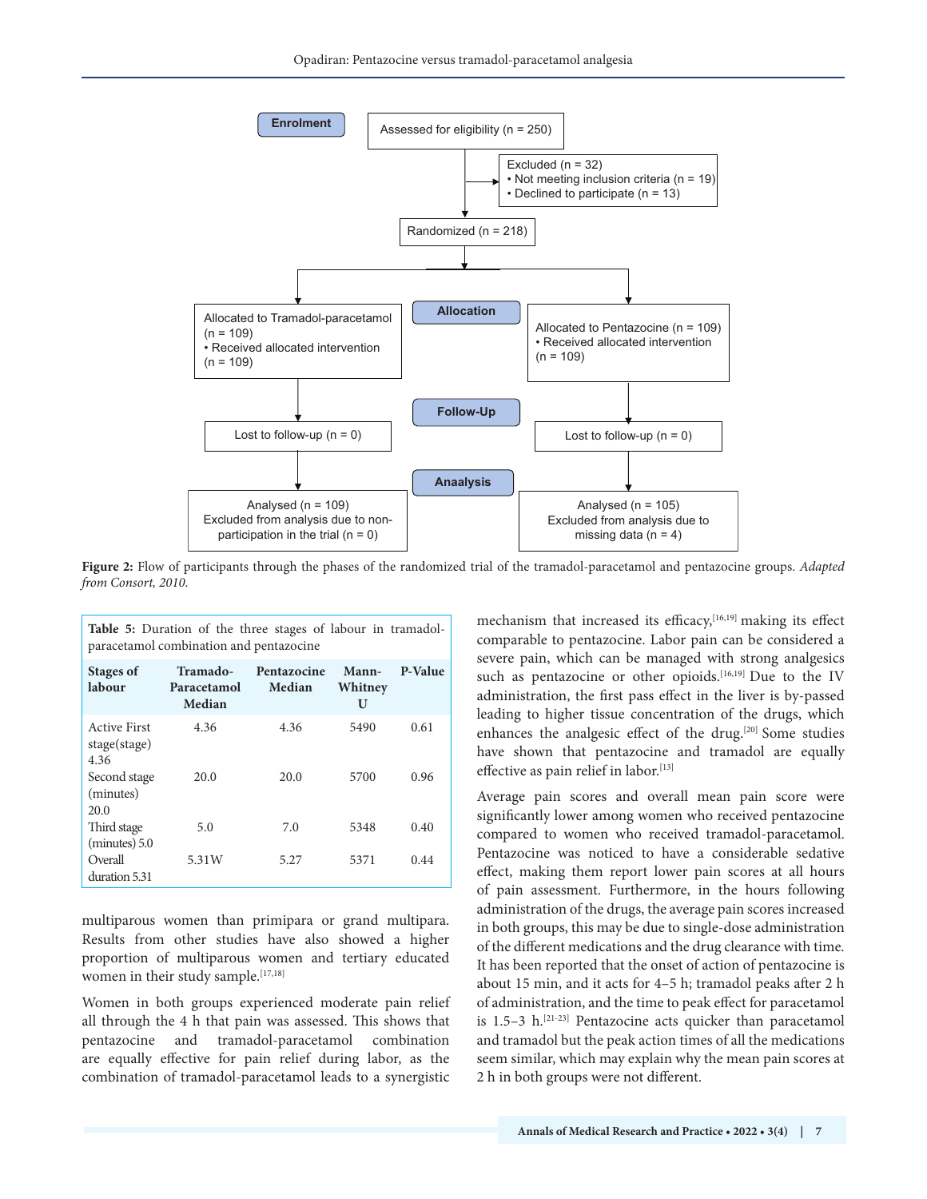

**Figure 2:** Flow of participants through the phases of the randomized trial of the tramadol-paracetamol and pentazocine groups. *Adapted from Consort, 2010*.

| <b>Table 5:</b> Duration of the three stages of labour in tramadol-<br>paracetamol combination and pentazocine |                                   |                              |                       |         |  |
|----------------------------------------------------------------------------------------------------------------|-----------------------------------|------------------------------|-----------------------|---------|--|
| Stages of<br>labour                                                                                            | Tramado-<br>Paracetamol<br>Median | Pentazocine<br><b>Median</b> | Mann-<br>Whitney<br>U | P-Value |  |
| <b>Active First</b><br>stage(stage)<br>4.36                                                                    | 4.36                              | 4.36                         | 5490                  | 0.61    |  |
| Second stage<br>(minutes)<br>20.0                                                                              | 20.0                              | 20.0                         | 5700                  | 0.96    |  |
| Third stage<br>(minutes) 5.0                                                                                   | 5.0                               | 7.0                          | 5348                  | 0.40    |  |
| Overall<br>duration 5.31                                                                                       | 5.31W                             | 5.27                         | 5371                  | 0.44    |  |

multiparous women than primipara or grand multipara. Results from other studies have also showed a higher proportion of multiparous women and tertiary educated women in their study sample.<sup>[17,18]</sup>

Women in both groups experienced moderate pain relief all through the 4 h that pain was assessed. This shows that pentazocine and tramadol-paracetamol combination are equally effective for pain relief during labor, as the combination of tramadol-paracetamol leads to a synergistic

mechanism that increased its efficacy,<sup>[16,19]</sup> making its effect comparable to pentazocine. Labor pain can be considered a severe pain, which can be managed with strong analgesics such as pentazocine or other opioids.<sup>[16,19]</sup> Due to the IV administration, the first pass effect in the liver is by-passed leading to higher tissue concentration of the drugs, which enhances the analgesic effect of the drug.<sup>[20]</sup> Some studies have shown that pentazocine and tramadol are equally effective as pain relief in labor.<sup>[13]</sup>

Average pain scores and overall mean pain score were significantly lower among women who received pentazocine compared to women who received tramadol-paracetamol. Pentazocine was noticed to have a considerable sedative effect, making them report lower pain scores at all hours of pain assessment. Furthermore, in the hours following administration of the drugs, the average pain scores increased in both groups, this may be due to single-dose administration of the different medications and the drug clearance with time. It has been reported that the onset of action of pentazocine is about 15 min, and it acts for 4–5 h; tramadol peaks after 2 h of administration, and the time to peak effect for paracetamol is 1.5-3 h.<sup>[21-23]</sup> Pentazocine acts quicker than paracetamol and tramadol but the peak action times of all the medications seem similar, which may explain why the mean pain scores at 2 h in both groups were not different.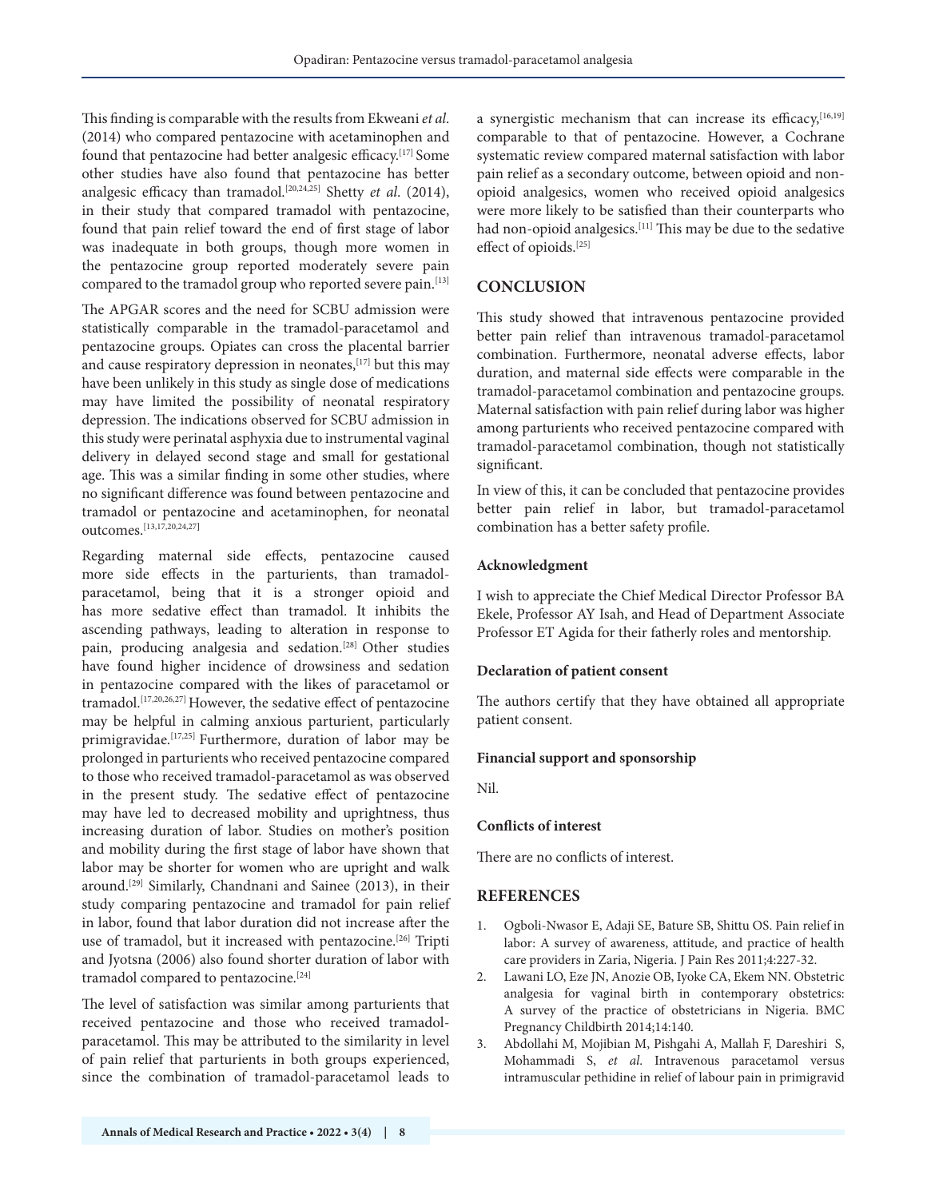This finding is comparable with the results from Ekweani *et al*. (2014) who compared pentazocine with acetaminophen and found that pentazocine had better analgesic efficacy.<sup>[17]</sup> Some other studies have also found that pentazocine has better analgesic efficacy than tramadol.[20,24,25] Shetty *et al*. (2014), in their study that compared tramadol with pentazocine, found that pain relief toward the end of first stage of labor was inadequate in both groups, though more women in the pentazocine group reported moderately severe pain compared to the tramadol group who reported severe pain.<sup>[13]</sup>

The APGAR scores and the need for SCBU admission were statistically comparable in the tramadol-paracetamol and pentazocine groups. Opiates can cross the placental barrier and cause respiratory depression in neonates, [17] but this may have been unlikely in this study as single dose of medications may have limited the possibility of neonatal respiratory depression. The indications observed for SCBU admission in this study were perinatal asphyxia due to instrumental vaginal delivery in delayed second stage and small for gestational age. This was a similar finding in some other studies, where no significant difference was found between pentazocine and tramadol or pentazocine and acetaminophen, for neonatal outcomes.[13,17,20,24,27**]**

Regarding maternal side effects, pentazocine caused more side effects in the parturients, than tramadolparacetamol, being that it is a stronger opioid and has more sedative effect than tramadol. It inhibits the ascending pathways, leading to alteration in response to pain, producing analgesia and sedation.[28] Other studies have found higher incidence of drowsiness and sedation in pentazocine compared with the likes of paracetamol or tramadol.[17,20,26,27] However, the sedative effect of pentazocine may be helpful in calming anxious parturient, particularly primigravidae.<sup>[17,25]</sup> Furthermore, duration of labor may be prolonged in parturients who received pentazocine compared to those who received tramadol-paracetamol as was observed in the present study. The sedative effect of pentazocine may have led to decreased mobility and uprightness, thus increasing duration of labor. Studies on mother's position and mobility during the first stage of labor have shown that labor may be shorter for women who are upright and walk around.[29] Similarly, Chandnani and Sainee (2013), in their study comparing pentazocine and tramadol for pain relief in labor, found that labor duration did not increase after the use of tramadol, but it increased with pentazocine.<sup>[26]</sup> Tripti and Jyotsna (2006) also found shorter duration of labor with tramadol compared to pentazocine.<sup>[24]</sup>

The level of satisfaction was similar among parturients that received pentazocine and those who received tramadolparacetamol. This may be attributed to the similarity in level of pain relief that parturients in both groups experienced, since the combination of tramadol-paracetamol leads to

a synergistic mechanism that can increase its efficacy, [16,19] comparable to that of pentazocine. However, a Cochrane systematic review compared maternal satisfaction with labor pain relief as a secondary outcome, between opioid and nonopioid analgesics, women who received opioid analgesics were more likely to be satisfied than their counterparts who had non-opioid analgesics.<sup>[11]</sup> This may be due to the sedative effect of opioids.[25]

# **CONCLUSION**

This study showed that intravenous pentazocine provided better pain relief than intravenous tramadol-paracetamol combination. Furthermore, neonatal adverse effects, labor duration, and maternal side effects were comparable in the tramadol-paracetamol combination and pentazocine groups. Maternal satisfaction with pain relief during labor was higher among parturients who received pentazocine compared with tramadol-paracetamol combination, though not statistically significant.

In view of this, it can be concluded that pentazocine provides better pain relief in labor, but tramadol-paracetamol combination has a better safety profile.

## **Acknowledgment**

I wish to appreciate the Chief Medical Director Professor BA Ekele, Professor AY Isah, and Head of Department Associate Professor ET Agida for their fatherly roles and mentorship.

## **Declaration of patient consent**

The authors certify that they have obtained all appropriate patient consent.

## **Financial support and sponsorship**

Nil.

## **Conflicts of interest**

There are no conflicts of interest.

# **REFERENCES**

- 1. Ogboli-Nwasor E, Adaji SE, Bature SB, Shittu OS. Pain relief in labor: A survey of awareness, attitude, and practice of health care providers in Zaria, Nigeria. J Pain Res 2011;4:227-32.
- 2. Lawani LO, Eze JN, Anozie OB, Iyoke CA, Ekem NN. Obstetric analgesia for vaginal birth in contemporary obstetrics: A survey of the practice of obstetricians in Nigeria. BMC Pregnancy Childbirth 2014;14:140.
- 3. Abdollahi M, Mojibian M, Pishgahi A, Mallah F, Dareshiri S, Mohammadi S, *et al*. Intravenous paracetamol versus intramuscular pethidine in relief of labour pain in primigravid